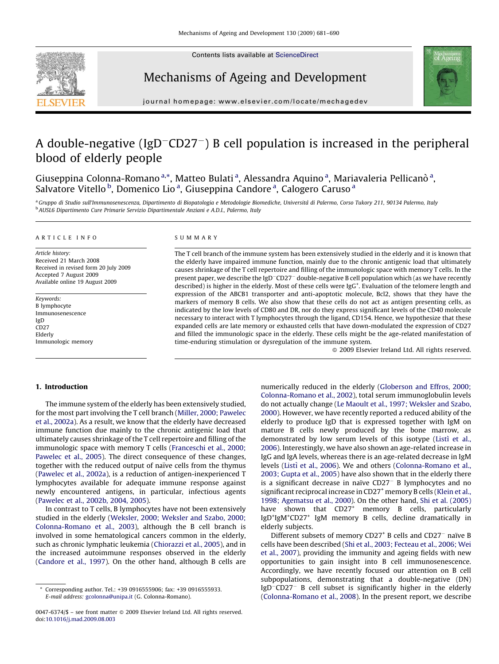

Contents lists available at [ScienceDirect](http://www.sciencedirect.com/science/journal/00476374)

# Mechanisms of Ageing and Development



journal homepage: www.elsevier.com/locate/mechagedev

# A double-negative (IgD<sup>-</sup>CD27<sup>-</sup>) B cell population is increased in the peripheral blood of elderly people

Giuseppina Colonna-Romano<sup>a,\*</sup>, Matteo Bulati<sup>a</sup>, Alessandra Aquino<sup>a</sup>, Mariavaleria Pellicanò<sup>a</sup>, Salvatore Vitello <sup>b</sup>, Domenico Lio<sup>a</sup>, Giuseppina Candore<sup>a</sup>, Calogero Caruso<sup>a</sup>

a Gruppo di Studio sull'Immunosenescenza, Dipartimento di Biopatologia e Metodologie Biomediche, Università di Palermo, Corso Tukory 211, 90134 Palermo, Italy <sup>b</sup> AUSL6 Dipartimento Cure Primarie Servizio Dipartimentale Anziani e A.D.I., Palermo, Italy

#### ARTICLE INFO

Article history: Received 21 March 2008 Received in revised form 20 July 2009 Accepted 7 August 2009 Available online 19 August 2009

Keywords: B lymphocyte Immunosenescence IgD CD<sub>27</sub> Elderly Immunologic memory

#### SUMMARY

The T cell branch of the immune system has been extensively studied in the elderly and it is known that the elderly have impaired immune function, mainly due to the chronic antigenic load that ultimately causes shrinkage of the T cell repertoire and filling of the immunologic space with memory T cells. In the present paper, we describe the IgD<sup>-</sup>CD27<sup>-</sup> double-negative B cell population which (as we have recently described) is higher in the elderly. Most of these cells were IgG<sup>+</sup>. Evaluation of the telomere length and expression of the ABCB1 transporter and anti-apoptotic molecule, Bcl2, shows that they have the markers of memory B cells. We also show that these cells do not act as antigen presenting cells, as indicated by the low levels of CD80 and DR, nor do they express significant levels of the CD40 molecule necessary to interact with T lymphocytes through the ligand, CD154. Hence, we hypothesize that these expanded cells are late memory or exhausted cells that have down-modulated the expression of CD27 and filled the immunologic space in the elderly. These cells might be the age-related manifestation of time-enduring stimulation or dysregulation of the immune system.

 $\odot$  2009 Elsevier Ireland Ltd. All rights reserved.

# 1. Introduction

The immune system of the elderly has been extensively studied, for the most part involving the T cell branch [\(Miller, 2000; Pawelec](#page-9-0) [et al., 2002a](#page-9-0)). As a result, we know that the elderly have decreased immune function due mainly to the chronic antigenic load that ultimately causes shrinkage of the T cell repertoire and filling of the immunologic space with memory T cells [\(Franceschi et al., 2000;](#page-9-0) [Pawelec et al., 2005\)](#page-9-0). The direct consequence of these changes, together with the reduced output of naïve cells from the thymus ([Pawelec et al., 2002a\)](#page-9-0), is a reduction of antigen-inexperienced T lymphocytes available for adequate immune response against newly encountered antigens, in particular, infectious agents ([Pawelec et al., 2002b, 2004, 2005\)](#page-9-0).

In contrast to T cells, B lymphocytes have not been extensively studied in the elderly [\(Weksler, 2000; Weksler and Szabo, 2000;](#page-9-0) [Colonna-Romano et al., 2003\)](#page-9-0), although the B cell branch is involved in some hematological cancers common in the elderly, such as chronic lymphatic leukemia ([Chiorazzi et al., 2005\)](#page-9-0), and in the increased autoimmune responses observed in the elderly ([Candore et al., 1997\)](#page-8-0). On the other hand, although B cells are numerically reduced in the elderly ([Globerson and Effros, 2000;](#page-9-0) [Colonna-Romano et al., 2002](#page-9-0)), total serum immunoglobulin levels do not actually change [\(Le Maoult et al., 1997; Weksler and Szabo,](#page-9-0) [2000\)](#page-9-0). However, we have recently reported a reduced ability of the elderly to produce IgD that is expressed together with IgM on mature B cells newly produced by the bone marrow, as demonstrated by low serum levels of this isotype (Listi [et al.,](#page-9-0) [2006\)](#page-9-0). Interestingly, we have also shown an age-related increase in IgG and IgA levels, whereas there is an age-related decrease in IgM levels (Listì [et al., 2006](#page-9-0)). We and others ([Colonna-Romano et al.,](#page-9-0) [2003; Gupta et al., 2005](#page-9-0)) have also shown that in the elderly there is a significant decrease in naïve  $CD27<sup>-</sup>$  B lymphocytes and no significant reciprocal increase in CD27<sup>+</sup> memory B cells ([Klein et al.,](#page-9-0) [1998; Agematsu et al., 2000](#page-9-0)). On the other hand, [Shi et al. \(2005\)](#page-9-0) have shown that CD27<sup>+</sup> memory B cells, particularly IgD<sup>+</sup>IgM<sup>+</sup>CD27<sup>+</sup> IgM memory B cells, decline dramatically in elderly subjects.

Different subsets of memory CD27<sup>+</sup> B cells and CD27<sup>-</sup> naïve B cells have been described ([Shi et al., 2003; Fecteau et al., 2006; Wei](#page-9-0) [et al., 2007](#page-9-0)), providing the immunity and ageing fields with new opportunities to gain insight into B cell immunosenescence. Accordingly, we have recently focused our attention on B cell subpopulations, demonstrating that a double-negative (DN) IgD<sup>-</sup>CD27<sup>-</sup> B cell subset is significantly higher in the elderly ([Colonna-Romano et al., 2008](#page-9-0)). In the present report, we describe

Corresponding author. Tel.: +39 0916555906; fax: +39 0916555933. E-mail address: [gcolonna@unipa.it](mailto:gcolonna@unipa.it) (G. Colonna-Romano).

 $0047$ -6374/\$ – see front matter  $\odot$  2009 Elsevier Ireland Ltd. All rights reserved. doi:[10.1016/j.mad.2009.08.003](http://dx.doi.org/10.1016/j.mad.2009.08.003)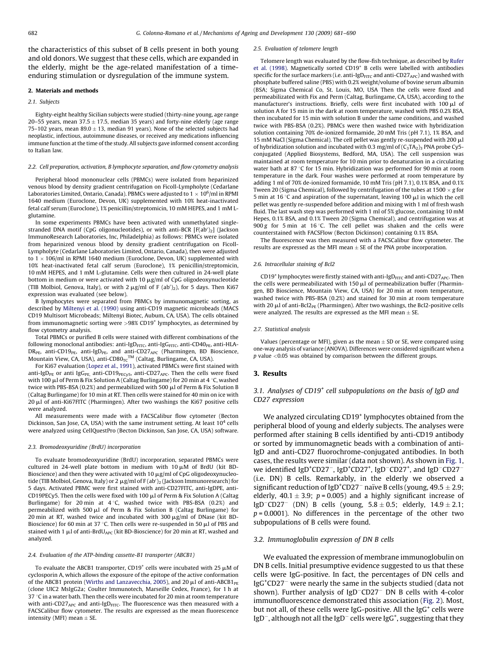the characteristics of this subset of B cells present in both young and old donors. We suggest that these cells, which are expanded in the elderly, might be the age-related manifestation of a timeenduring stimulation or dysregulation of the immune system.

## 2. Materials and methods

# 2.1. Subjects

Eighty-eight healthy Sicilian subjects were studied (thirty-nine young, age range 20–55 years, mean  $37.5 \pm 17.5$ , median 35 years) and forty-nine elderly (age range 75–102 years, mean 89.0  $\pm$  13, median 91 years). None of the selected subjects had neoplastic, infectious, autoimmune diseases, or received any medications influencing immune function at the time of the study. All subjects gave informed consent according to Italian law.

## 2.2. Cell preparation, activation, B lymphocyte separation, and flow cytometry analysis

Peripheral blood mononuclear cells (PBMCs) were isolated from heparinized venous blood by density gradient centrifugation on Ficoll-Lympholyte (Cedarlane Laboratories Limited, Ontario, Canada). PBMCs were adjusted to 1  $\times$  10 $^{6}$ /ml in RPMI 1640 medium (Euroclone, Devon, UK) supplemented with 10% heat-inactivated fetal calf serum (Euroclone), 1% penicillin/streptomicin, 10 mM HEPES, and 1 mM Lglutamine.

In some experiments PBMCs have been activated with unmethylated singlestranded DNA motif (CpG oligonucleotides), or with anti-BCR  $[F(ab')_2]$  (Jackson ImmunoResearch Laboratories, Inc, Philadelphia) as follows: PBMCs were isolated from heparinized venous blood by density gradient centrifugation on Ficoll-Lympholyte (Cedarlane Laboratories Limited, Ontario, Canada), then were adjusted to  $1 \times 106$ /ml in RPMI 1640 medium (Euroclone, Devon, UK) supplemented with 10% heat-inactivated fetal calf serum (Euroclone), 1% penicillin/streptomicin, 10 mM HEPES, and 1 mM L-glutamine. Cells were then cultured in 24-well plate bottom in medium or were activated with 10  $\mu$ g/ml of CpG oligodeoxynucleotide (TIB Molbiol, Genova, Italy), or with  $2 \mu g/ml$  of F (ab')<sub>2</sub>), for 5 days. Then Ki67 expression was evaluated (see below).

B lymphocytes were separated from PBMCs by immunomagnetic sorting, as described by [Miltenyi et al. \(1990\)](#page-9-0) using anti-CD19 magnetic microbeads (MACS CD19 Multisort Microbeads; Miltenyi Biotec, Aubum, CA, USA). The cells obtained from immunomagnetic sorting were >98% CD19<sup>+</sup> lymphocytes, as determined by flow cytometry analysis.

Total PBMCs or purified B cells were stained with different combinations of the following monoclonal antibodies: anti-IgD<sub>FITC</sub>, anti-IgG<sub>FITC</sub>, anti-CD40<sub>PE</sub>, anti-HLA- $DR_{PE}$ , anti-CD19<sub>PE</sub>, anti-IgD<sub>PE</sub>, and anti-CD27<sub>APC</sub> (Pharmingen, BD Bioscience, Mountain View, CA, USA), anti-CD80 $T<sup>TM</sup>$  (Caltag, Burlingame, CA, USA).

For Ki67 evaluation ([Lopez et al., 1991](#page-9-0)), activated PBMCs were first stained with anti-IgD<sub>PE</sub> or anti IgG<sub>PE,</sub> anti-CD19<sub>PECy5</sub>, anti-CD27<sub>APC</sub>. Then the cells were fixed with 100  $\mu$ l of Perm & Fix Solution A (Caltag Burlingame) for 20 min at 4 °C, washed twice with PBS-BSA (0.2%) and permeabilized with 500  $\mu$ l of Perm & Fix Solution B (Caltag Burlingame) for 10 min at RT. Then cells were stained for 40 min on ice with  $20 \mu$ l of anti-Ki67FITC (Pharmingen). After two washings the Ki67 positive cells were analyzed.

All measurements were made with a FACSCalibur flow cytometer (Becton Dickinson, San Jose, CA, USA) with the same instrument setting. At least  $10^4$  cells were analyzed using CellQuestPro (Becton Dickinson, San Jose, CA, USA) software.

## 2.3. Bromodeoxyuridine (BrdU) incorporation

To evaluate bromodeoxyuridine (BrdU) incorporation, separated PBMCs were cultured in 24-well plate bottom in medium with  $10 \mu M$  of BrdU (kit BD-Bioscience) and then they were activated with 10  $\mu$ g/ml of CpG oligodeoxynucleotide (TIB Molbiol, Genova, Italy) or 2  $\mu$ g/ml of F (ab')<sub>2</sub> (Jackson Immunoresearch) for 5 days. Activated PBMC were first stained with anti-CD27FITC, anti-IgDPE, anti-CD19PECy5. Then the cells were fixed with 100  $\mu$ l of Perm & Fix Solution A (Caltag Burlingame) for 20 min at  $4^{\circ}$ C, washed twice with PBS-BSA (0.2%) and permeabilized with 500  $\mu$ l of Perm & Fix Solution B (Caltag Burlingame) for 20 min at RT, washed twice and incubated with 300  $\mu$ g/ml of DNase (kit BD-Bioscience) for 60 min at 37 °C. Then cells were re-suspended in 50  $\mu$ l of PBS and stained with 1  $\mu$ l of anti-BrdU<sub>APC</sub> (kit BD-Bioscience) for 20 min at RT, washed and analyzed.

### 2.4. Evaluation of the ATP-binding cassette-B1 transporter (ABCB1)

To evaluate the ABCB1 transporter, CD19<sup>+</sup> cells were incubated with 25  $\mu$ M of cyclosporin A, which allows the exposure of the epitope of the active conformation of the ABCB1 protein ([Wirths and Lanzavecchia, 2005](#page-9-0)), and 20  $\mu$ l of anti-ABCB1<sub>PE</sub> (clone UIC2 MsIgG2a; Coulter Immunotech, Marseille Cedex, France), for 1 h at 37  $\degree$ C in a water bath. Then the cells were incubated for 20 min at room temperature with anti-CD27<sub>APC</sub> and anti-IgD<sub>FITC</sub>. The fluorescence was then measured with a FACSCalibur flow cytometer. The results are expressed as the mean fluorescence intensity (MFI) mean  $\pm$  SE.

## 2.5. Evaluation of telomere length

Telomere length was evaluated by the flow-fish technique, as described by [Rufer](#page-9-0) [et al. \(1998\)](#page-9-0). Magnetically sorted CD19<sup>+</sup> B cells were labelled with antibodies specific for the surface markers (i.e. anti-IgD<sub>FITC</sub> and anti-CD27<sub>APC</sub>) and washed with phosphate buffered saline (PBS) with 0.2% weight/volume of bovine serum albumin (BSA; Sigma Chemical Co, St. Louis, MO, USA Then the cells were fixed and permeabilizated with Fix and Perm (Caltag, Burlingame, CA, USA), according to the manufacturer's instructions. Briefly, cells were first incubated with  $100 \mu l$  of solution A for 15 min in the dark at room temperature, washed with PBS 0.2% BSA, then incubated for 15 min with solution B under the same conditions, and washed twice with PBS-BSA (0.2%). PBMCs were then washed twice with hybridization solution containing 70% de-ionized formamide, 20 mM Tris (pH 7.1), 1% BSA, and 15 mM NaCl (Sigma Chemical). The cell pellet was gently re-suspended with 200 µl of hybridization solution and incubated with 0.3 mg/ml of  $(C_3TA_2)_3$  PNA probe Cy5conjugated (Applied Biosystems, Bedford, MA, USA). The cell suspension was maintained at room temperature for 10 min prior to denaturation in a circulating water bath at 87 $\degree$ C for 15 min. Hybridization was performed for 90 min at room temperature in the dark. Four washes were performed at room temperature by adding 1 ml of 70% de-ionized formamide, 10 mM Tris (pH 7.1), 0.1% BSA, and 0.1% Tween 20 (Sigma Chemical), followed by centrifugation of the tubes at 1500  $\times$  g for 5 min at 16 °C and aspiration of the supernatant, leaving 100  $\mu$ l in which the cell pellet was gently re-suspended before addition and mixing with 1 ml of fresh wash fluid. The last wash step was performed with 1 ml of 5% glucose, containing 10 mM Hepes, 0.1% BSA, and 0.1% Tween 20 (Sigma Chemical), and centrifugation was at  $900 g$  for 5 min at 16 °C. The cell pellet was shaken and the cells were counterstained with FACSFlow (Becton Dickinson) containing 0.1% BSA.

The fluorescence was then measured with a FACSCalibur flow cytometer. The results are expressed as the MFI mean  $\pm$  SE of the PNA probe incorporation.

### 2.6. Intracellular staining of Bcl2

CD19<sup>+</sup> lymphocytes were firstly stained with anti-IgD<sub>FITC</sub> and anti-CD27<sub>APC</sub>. Then the cells were permeabilizated with 150  $\mu$ l of permeabilization buffer (Pharmingen, BD Bioscience, Mountain View, CA, USA) for 20 min at room temperature, washed twice with PBS-BSA (0.2%) and stained for 30 min at room temperature with 20  $\mu$ l of anti-Bcl2<sub>PE</sub> (Pharmingen). After two washings, the Bcl2-positive cells were analyzed. The results are expressed as the MFI mean  $\pm$  SE.

### 2.7. Statistical analysis

Values (percentage or MFI), given as the mean  $\pm$  SD or SE, were compared using one-way analysis of variance (ANOVA). Differences were considered significant when a  $p$  value  $<$  0.05 was obtained by comparison between the different groups.

#### 3. Results

# 3.1. Analyses of CD19 $^+$  cell subpopulations on the basis of IgD and CD27 expression

We analyzed circulating CD19<sup>+</sup> lymphocytes obtained from the peripheral blood of young and elderly subjects. The analyses were performed after staining B cells identified by anti-CD19 antibody or sorted by immunomagnetic beads with a combination of anti-IgD and anti-CD27 fluorochrome-conjugated antibodies. In both cases, the results were similar (data not shown). As shown in [Fig. 1,](#page-2-0) we identified IgD<sup>+</sup>CD27<sup>-</sup>, IgD<sup>+</sup>CD27<sup>+</sup>, IgD<sup>-</sup>CD27<sup>+</sup>, and IgD<sup>-</sup>CD27<sup>-</sup> (i.e. DN) B cells. Remarkably, in the elderly we observed a significant reduction of IgD<sup>+</sup>CD27<sup>-</sup> naïve B cells (young, 49.5  $\pm$  2.9; elderly,  $40.1 \pm 3.9$ ;  $p = 0.005$ ) and a highly significant increase of IgD<sup>-</sup>CD27<sup>-</sup> (DN) B cells (young,  $5.8 \pm 0.5$ ; elderly,  $14.9 \pm 2.1$ ;  $p = 0.0001$ ). No differences in the percentage of the other two subpopulations of B cells were found.

## 3.2. Immunoglobulin expression of DN B cells

We evaluated the expression of membrane immunoglobulin on DN B cells. Initial presumptive evidence suggested to us that these cells were IgG-positive. In fact, the percentages of DN cells and IgG<sup>+</sup>CD27<sup>-</sup> were nearly the same in the subjects studied (data not shown). Further analysis of IgD<sup>-</sup>CD27<sup>-</sup> DN B cells with 4-color immunofluorescence demonstrated this association [\(Fig. 2](#page-2-0)). Most, but not all, of these cells were IgG-positive. All the IgG<sup>+</sup> cells were IgD<sup>-</sup>, although not all the IgD<sup>-</sup> cells were IgG<sup>+</sup>, suggesting that they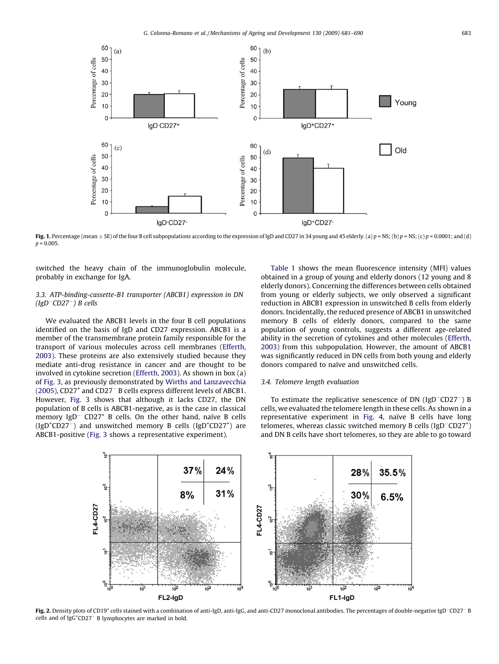<span id="page-2-0"></span>

Fig. 1. Percentage (mean  $\pm$  SE) of the four B cell subpopulations according to the expression of IgD and CD27 in 34 young and 45 elderly. (a)  $p = NS$ ; (b)  $p = NS$ ; (c)  $p = 0.0001$ ; and (d)  $p = 0.005$ .

switched the heavy chain of the immunoglobulin molecule, probably in exchange for IgA.

# 3.3. ATP-binding-cassette-B1 transporter (ABCB1) expression in DN  $(IgD-CD27<sup>-</sup>)$  B cells

We evaluated the ABCB1 levels in the four B cell populations identified on the basis of IgD and CD27 expression. ABCB1 is a member of the transmembrane protein family responsible for the transport of various molecules across cell membranes ([Efferth,](#page-9-0) [2003\)](#page-9-0). These proteins are also extensively studied because they mediate anti-drug resistance in cancer and are thought to be involved in cytokine secretion [\(Efferth, 2003](#page-9-0)). As shown in box (a) of [Fig. 3,](#page-3-0) as previously demonstrated by [Wirths and Lanzavecchia](#page-9-0) [\(2005\),](#page-9-0) CD27<sup>+</sup> and CD27<sup>-</sup> B cells express different levels of ABCB1. However, [Fig. 3](#page-3-0) shows that although it lacks CD27, the DN population of B cells is ABCB1-negative, as is the case in classical memory  $IgD^-$  CD27<sup>+</sup> B cells. On the other hand, naïve B cells (IgD<sup>+</sup>CD27<sup>-</sup>) and unswitched memory B cells (IgD<sup>+</sup>CD27<sup>+</sup>) are ABCB1-positive [\(Fig. 3](#page-3-0) shows a representative experiment).

[Table 1](#page-3-0) shows the mean fluorescence intensity (MFI) values obtained in a group of young and elderly donors (12 young and 8 elderly donors). Concerning the differences between cells obtained from young or elderly subjects, we only observed a significant reduction in ABCB1 expression in unswitched B cells from elderly donors. Incidentally, the reduced presence of ABCB1 in unswitched memory B cells of elderly donors, compared to the same population of young controls, suggests a different age-related ability in the secretion of cytokines and other molecules ([Efferth,](#page-9-0) [2003\)](#page-9-0) from this subpopulation. However, the amount of ABCB1 was significantly reduced in DN cells from both young and elderly donors compared to naïve and unswitched cells.

# 3.4. Telomere length evaluation

To estimate the replicative senescence of DN (IgD $^{-}$ CD27 $^{-}$ ) B cells, we evaluated the telomere length in these cells. As shown in a representative experiment in [Fig. 4](#page-4-0), naïve B cells have long telomeres, whereas classic switched memory B cells (IgD<sup>-</sup>CD27<sup>+</sup>) and DN B cells have short telomeres, so they are able to go toward



Fig. 2. Density plots of CD19<sup>+</sup> cells stained with a combination of anti-IgD, anti-IgG, and anti-CD27 monoclonal antibodies. The percentages of double-negative IgD<sup>-</sup>CD27<sup>-</sup> B cells and of IgG<sup>+</sup> CD27- B lymphocytes are marked in bold.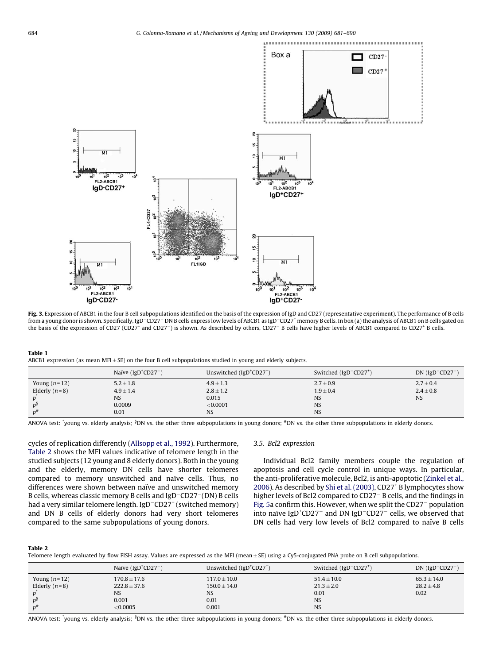<span id="page-3-0"></span>

Fig. 3. Expression of ABCB1 in the four B cell subpopulations identified on the basis of the expression of IgD and CD27 (representative experiment). The performance of B cells from a young donor is shown. Specifically, IgD<sup>-</sup>CD27<sup>-</sup> DN B cells express low levels of ABCB1 as IgD<sup>-</sup>CD27<sup>+</sup> memory B cells. In box (a) the analysis of ABCB1 on B cells gated on the basis of the expression of CD27 (CD27<sup>+</sup> and CD27<sup>-</sup>) is shown. As described by others, CD27<sup>-</sup> B cells have higher levels of ABCB1 compared to CD27<sup>+</sup> B cells.

## Table 1

ABCB1 expression (as mean MFI $\pm$  SE) on the four B cell subpopulations studied in young and elderly subjects.

|                 | Naïve (Ig $D^+CD27^-$ ) | Unswitched $(IgD+CD27+)$ | Switched $(IgD$ <sup><math>-CD27</math><sup>+</sup>)</sup> | $DN$ (IgD <sup>-</sup> CD27 <sup>-</sup> ) |
|-----------------|-------------------------|--------------------------|------------------------------------------------------------|--------------------------------------------|
| Young $(n=12)$  | $5.2 \pm 1.8$           | $4.9 \pm 1.3$            | $2.7 \pm 0.9$                                              | $2.7 \pm 0.4$                              |
| Elderly $(n=8)$ | $4.9 \pm 1.4$           | $2.8 \pm 1.2$            | $1.9 \pm 0.4$                                              | $2.4 \pm 0.8$                              |
|                 | NS                      | 0.015                    | <b>NS</b>                                                  | <b>NS</b>                                  |
|                 | 0.0009                  | < 0.0001                 | <b>NS</b>                                                  |                                            |
|                 | 0.01                    | NS                       | <b>NS</b>                                                  |                                            |

ANOVA test: 'young vs. elderly analysis; <sup>§</sup>DN vs. the other three subpopulations in young donors; <sup>#</sup>DN vs. the other three subpopulations in elderly donors.

cycles of replication differently ([Allsopp et al., 1992\)](#page-8-0). Furthermore, Table 2 shows the MFI values indicative of telomere length in the studied subjects (12 young and 8 elderly donors). Both in the young and the elderly, memory DN cells have shorter telomeres compared to memory unswitched and naïve cells. Thus, no differences were shown between naïve and unswitched memory B cells, whereas classic memory B cells and IgD<sup>-</sup>CD27<sup>-</sup>(DN) B cells had a very similar telomere length. IgD<sup>-</sup>CD27<sup>+</sup> (switched memory) and DN B cells of elderly donors had very short telomeres compared to the same subpopulations of young donors.

# 3.5. Bcl2 expression

Individual Bcl2 family members couple the regulation of apoptosis and cell cycle control in unique ways. In particular, the anti-proliferative molecule, Bcl2, is anti-apoptotic ([Zinkel et al.,](#page-9-0) [2006\)](#page-9-0). As described by [Shi et al. \(2003\),](#page-9-0) CD27<sup>+</sup> B lymphocytes show higher levels of Bcl2 compared to CD27<sup>-</sup> B cells, and the findings in [Fig. 5](#page-4-0)a confirm this. However, when we split the CD27<sup>-</sup> population into naïve IgD<sup>+</sup>CD27<sup>-</sup> and DN IgD<sup>-</sup>CD27<sup>-</sup> cells, we observed that DN cells had very low levels of Bcl2 compared to naïve B cells

### Table 2

Telomere length evaluated by flow FISH assay. Values are expressed as the MFI (mean  $\pm$  SE) using a Cy5-conjugated PNA probe on B cell subpopulations.

|                 | Naïve ( $IgD+CD27-$ ) | Unswitched (IgD <sup>+</sup> CD27 <sup>+</sup> ) | Switched (IgD <sup>-</sup> CD27 <sup>+</sup> ) | $DN$ (IgD <sup>-</sup> CD27 <sup>-</sup> ) |
|-----------------|-----------------------|--------------------------------------------------|------------------------------------------------|--------------------------------------------|
| Young $(n=12)$  | $170.8 \pm 17.6$      | $117.0 \pm 10.0$                                 | $51.4 \pm 10.0$                                | $65.3 \pm 14.0$                            |
| Elderly $(n=8)$ | $222.8 \pm 37.6$      | $150.0 \pm 14.0$                                 | $21.3 \pm 2.0$                                 | $28.2 \pm 4.8$                             |
|                 | <b>NS</b>             | NS                                               | 0.01                                           | 0.02                                       |
|                 | 0.001                 | 0.01                                             | <b>NS</b>                                      |                                            |
|                 | < 0.0005              | 0.001                                            | <b>NS</b>                                      |                                            |

ANOVA test: 'young vs. elderly analysis; <sup>§</sup>DN vs. the other three subpopulations in young donors; <sup>#</sup>DN vs. the other three subpopulations in elderly donors.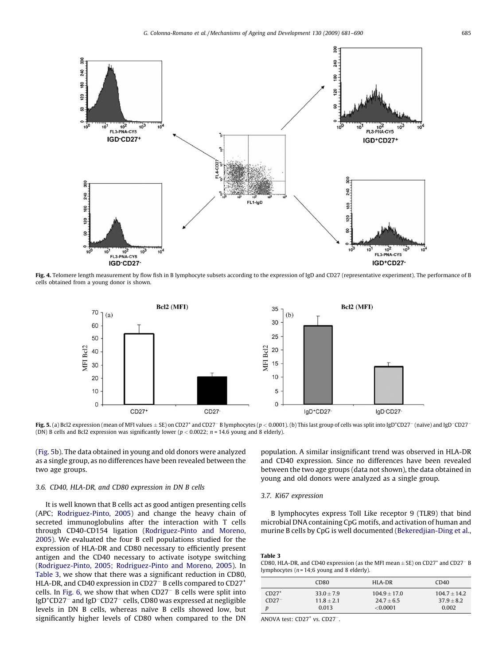<span id="page-4-0"></span>

Fig. 4. Telomere length measurement by flow fish in B lymphocyte subsets according to the expression of IgD and CD27 (representative experiment). The performance of B cells obtained from a young donor is shown.



Fig. 5. (a) Bcl2 expression (mean of MFI values  $\pm$  SE) on CD27<sup>+</sup> and CD27<sup>-</sup> B lymphocytes (p < 0.0001). (b) This last group of cells was split into IgD<sup>+</sup>CD27<sup>-</sup> (naïve) and IgD<sup>-</sup>CD27<sup>-</sup> (DN) B cells and Bcl2 expression was significantly lower ( $p < 0.0022$ ;  $n = 14.6$  young and 8 elderly).

(Fig. 5b). The data obtained in young and old donors were analyzed as a single group, as no differences have been revealed between the two age groups.

# 3.6. CD40, HLA-DR, and CD80 expression in DN B cells

It is well known that B cells act as good antigen presenting cells (APC; [Rodriguez-Pinto, 2005](#page-9-0)) and change the heavy chain of secreted immunoglobulins after the interaction with T cells through CD40-CD154 ligation [\(Rodriguez-Pinto and Moreno,](#page-9-0) [2005\)](#page-9-0). We evaluated the four B cell populations studied for the expression of HLA-DR and CD80 necessary to efficiently present antigen and the CD40 necessary to activate isotype switching ([Rodriguez-Pinto, 2005; Rodriguez-Pinto and Moreno, 2005](#page-9-0)). In Table 3, we show that there was a significant reduction in CD80, HLA-DR, and CD40 expression in CD27 $^-$  B cells compared to CD27 $^+$ cells. In Fig.  $6$ , we show that when  $CD27<sup>-</sup>$  B cells were split into IgD<sup>+</sup>CD27<sup>-</sup> and IgD<sup>-</sup>CD27<sup>-</sup> cells, CD80 was expressed at negligible levels in DN B cells, whereas naïve B cells showed low, but significantly higher levels of CD80 when compared to the DN

population. A similar insignificant trend was observed in HLA-DR and CD40 expression. Since no differences have been revealed between the two age groups (data not shown), the data obtained in young and old donors were analyzed as a single group.

## 3.7. Ki67 expression

B lymphocytes express Toll Like receptor 9 (TLR9) that bind microbial DNA containing CpG motifs, and activation of human and murine B cells by CpG is well documented [\(Bekeredjian-Ding et al.,](#page-8-0)

| Table 3                                                                                                   |  |
|-----------------------------------------------------------------------------------------------------------|--|
| CD80, HLA-DR, and CD40 expression (as the MFI mean $\pm$ SE) on CD27 <sup>+</sup> and CD27 <sup>-</sup> B |  |
| lymphocytes ( $n = 14$ ;6 young and 8 elderly).                                                           |  |

|                    | CD <sub>80</sub>             | HLA-DR                         | CD <sub>40</sub>               |
|--------------------|------------------------------|--------------------------------|--------------------------------|
| $CD27+$<br>$CD27-$ | $33.0 + 7.9$<br>$11.8 + 2.1$ | $104.9 + 17.0$<br>$24.7 + 6.5$ | $104.7 + 14.2$<br>$37.9 + 8.2$ |
|                    | 0.013                        | < 0.0001                       | 0.002                          |

ANOVA test: CD27<sup>+</sup> vs. CD27<sup>-</sup>.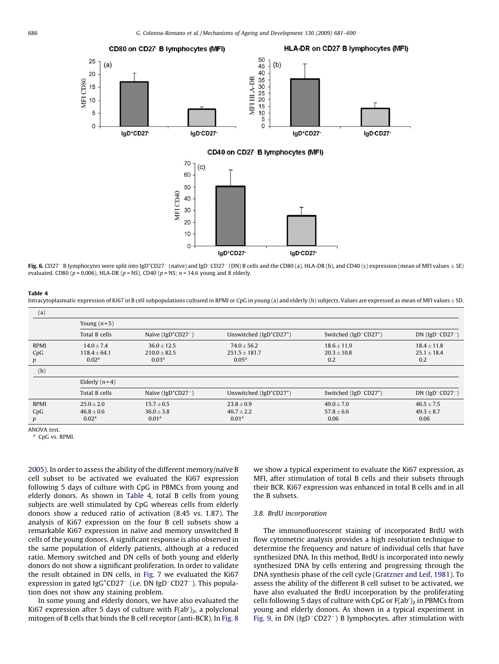<span id="page-5-0"></span>

Fig. 6. CD27<sup>-</sup> B lymphocytes were split into IgD<sup>+</sup>CD27<sup>-</sup> (naïve) and IgD<sup>-</sup>CD27<sup>-</sup> (DN) B cells and the CD80 (a), HLA-DR (b), and CD40 (c) expression (mean of MFI values ± SE) evaluated. CD80 ( $p = 0.006$ ), HLA-DR ( $p = NS$ ), CD40 ( $p = NS$ ;  $n = 14.6$  young and 8 elderly

laD-CD27

lgD+CD27-

 $\Omega$ 

### Table 4

Intracytoplasmatic expression of Ki67 in B cell subpopulations cultured in RPMI or CpG in young (a) and elderly (b) subjects. Values are expressed as mean of MFI values ± SD.

| (a)                     |                                                         |                                                        |                                                           |                                                   |                                            |
|-------------------------|---------------------------------------------------------|--------------------------------------------------------|-----------------------------------------------------------|---------------------------------------------------|--------------------------------------------|
|                         | Young $(n=5)$                                           |                                                        |                                                           |                                                   |                                            |
|                         | Total B cells                                           | Naïve ( $IgD+CD27-$ )                                  | Unswitched (IgD <sup>+</sup> CD27 <sup>+</sup> )          | Switched ( $IgD$ <sup>-</sup> CD27 <sup>+</sup> ) | DN $(IgD-CD27-)$                           |
| <b>RPMI</b><br>CpG<br>p | $14.0 \pm 7.4$<br>$118.4 \pm 64.1$<br>0.02 <sup>a</sup> | $36.0 + 12.5$<br>$210.0 \pm 82.5$<br>0.03 <sup>a</sup> | $74.0 \pm 56.2$<br>$251.5 \pm 181.7$<br>0.05 <sup>a</sup> | $18.6 \pm 11.9$<br>$20.3 \pm 10.8$<br>0.2         | $18.4 \pm 11.8$<br>$25.1 \pm 18.4$<br>0.2  |
| (b)                     |                                                         |                                                        |                                                           |                                                   |                                            |
|                         | Elderly $(n=4)$                                         |                                                        |                                                           |                                                   |                                            |
|                         | Total B cells                                           | Naïve ( $IgD+CD27-$ )                                  | Unswitched (IgD <sup>+</sup> CD27 <sup>+</sup> )          | Switched ( $IgD$ <sup>-</sup> CD27 <sup>+</sup> ) | $DN$ (IgD <sup>-</sup> CD27 <sup>-</sup> ) |
| <b>RPMI</b><br>CpG<br>p | $25.0 + 2.0$<br>$46.8 \pm 0.6$<br>0.02 <sup>a</sup>     | $15.7 \pm 0.5$<br>$36.0 \pm 3.8$<br>0.01 <sup>a</sup>  | $23.8 \pm 0.9$<br>$46.7 \pm 2.2$<br>0.01 <sup>a</sup>     | $49.0 \pm 7.0$<br>$57.8 \pm 6.6$<br>0.06          | $46.5 \pm 7.5$<br>$49.3 \pm 8.7$<br>0.06   |

ANOVA test.

a CpG vs. RPMI

[2005\)](#page-8-0). In order to assess the ability of the different memory/naïve B cell subset to be activated we evaluated the Ki67 expression following 5 days of culture with CpG in PBMCs from young and elderly donors. As shown in Table 4, total B cells from young subjects are well stimulated by CpG whereas cells from elderly donors show a reduced ratio of activation (8.45 vs. 1.87). The analysis of Ki67 expression on the four B cell subsets show a remarkable Ki67 expression in naïve and memory unswitched B cells of the young donors. A significant response is also observed in the same population of elderly patients, although at a reduced ratio. Memory switched and DN cells of both young and elderly donors do not show a significant proliferation. In order to validate the result obtained in DN cells, in [Fig. 7](#page-6-0) we evaluated the Ki67 expression in gated Ig $G<sup>+</sup>CD27<sup>-</sup>$  (i.e. DN IgD<sup>-</sup>CD27<sup>-</sup>). This population does not show any staining problem.

In some young and elderly donors, we have also evaluated the Ki67 expression after 5 days of culture with  $F(ab')_2$ , a polyclonal mitogen of B cells that binds the B cell receptor (anti-BCR). In [Fig. 8](#page-7-0) we show a typical experiment to evaluate the Ki67 expression, as MFI, after stimulation of total B cells and their subsets through their BCR. Ki67 expression was enhanced in total B cells and in all the B subsets.

# 3.8. BrdU incorporation

The immunofluorescent staining of incorporated BrdU with flow cytometric analysis provides a high resolution technique to determine the frequency and nature of individual cells that have synthesized DNA. In this method, BrdU is incorporated into newly synthesized DNA by cells entering and progressing through the DNA synthesis phase of the cell cycle [\(Gratzner and Leif, 1981](#page-9-0)). To assess the ability of the different B cell subset to be activated, we have also evaluated the BrdU incorporation by the proliferating cells following 5 days of culture with CpG or  $F(ab')_2$  in PBMCs from young and elderly donors. As shown in a typical experiment in [Fig. 9,](#page-8-0) in DN (IgD<sup>-</sup>CD27<sup>-</sup>) B lymphocytes, after stimulation with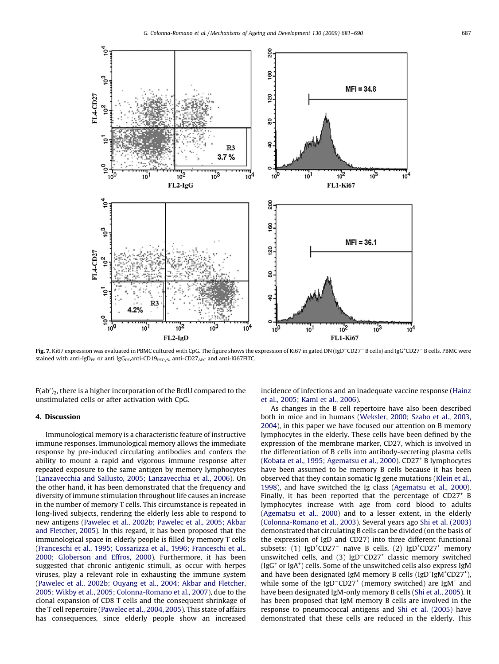<span id="page-6-0"></span>

Fig. 7. Ki67 expression was evaluated in PBMC cultured with CpG. The figure shows the expression of Ki67 in gated DN (IgD<sup>-</sup>CD27<sup>-</sup> B cells) and IgG<sup>+</sup>CD27<sup>-</sup> B cells. PBMC were stained with anti-IgD<sub>PE</sub> or anti IgG<sub>PE</sub>, anti-CD19<sub>PECy5</sub>, anti-CD27<sub>APC</sub> and anti-Ki67FITC.

F(ab′) $_2$ , there is a higher incorporation of the BrdU compared to the unstimulated cells or after activation with CpG.

# 4. Discussion

Immunological memory is a characteristic feature of instructive immune responses. Immunological memory allows the immediate response by pre-induced circulating antibodies and confers the ability to mount a rapid and vigorous immune response after repeated exposure to the same antigen by memory lymphocytes ([Lanzavecchia and Sallusto, 2005; Lanzavecchia et al., 2006](#page-9-0)). On the other hand, it has been demonstrated that the frequency and diversity of immune stimulation throughout life causes an increase in the number of memory T cells. This circumstance is repeated in long-lived subjects, rendering the elderly less able to respond to new antigens [\(Pawelec et al., 2002b; Pawelec et al., 2005; Akbar](#page-9-0) [and Fletcher, 2005](#page-9-0)). In this regard, it has been proposed that the immunological space in elderly people is filled by memory T cells ([Franceschi et al., 1995; Cossarizza et al., 1996; Franceschi et al.,](#page-9-0) [2000; Globerson and Effros, 2000\)](#page-9-0). Furthermore, it has been suggested that chronic antigenic stimuli, as occur with herpes viruses, play a relevant role in exhausting the immune system ([Pawelec et al., 2002b; Ouyang et al., 2004; Akbar and Fletcher,](#page-9-0) [2005; Wikby et al., 2005; Colonna-Romano et al., 2007](#page-9-0)), due to the clonal expansion of CD8 T cells and the consequent shrinkage of the T cell repertoire ([Pawelec et al., 2004, 2005\)](#page-9-0). This state of affairs has consequences, since elderly people show an increased incidence of infections and an inadequate vaccine response [\(Hainz](#page-9-0) [et al., 2005; Kaml et al., 2006](#page-9-0)).

As changes in the B cell repertoire have also been described both in mice and in humans ([Weksler, 2000; Szabo et al., 2003,](#page-9-0) [2004\)](#page-9-0), in this paper we have focused our attention on B memory lymphocytes in the elderly. These cells have been defined by the expression of the membrane marker, CD27, which is involved in the differentiation of B cells into antibody-secreting plasma cells ([Kobata et al., 1995; Agematsu et al., 2000\)](#page-9-0). CD27<sup>+</sup> B lymphocytes have been assumed to be memory B cells because it has been observed that they contain somatic Ig gene mutations ([Klein et al.,](#page-9-0) [1998\)](#page-9-0), and have switched the Ig class ([Agematsu et al., 2000\)](#page-8-0). Finally, it has been reported that the percentage of  $CD27<sup>+</sup>$  B lymphocytes increase with age from cord blood to adults ([Agematsu et al., 2000](#page-8-0)) and to a lesser extent, in the elderly ([Colonna-Romano et al., 2003](#page-9-0)). Several years ago [Shi et al. \(2003\)](#page-9-0) demonstrated that circulating B cells can be divided (on the basis of the expression of IgD and CD27) into three different functional subsets: (1)  $IgD^+CD27^-$  naïve B cells, (2)  $IgD^+CD27^+$  memory unswitched cells, and  $(3)$  IgD<sup>-</sup>CD27<sup>+</sup> classic memory switched (IgG<sup>+</sup> or IgA<sup>+</sup>) cells. Some of the unswitched cells also express IgM and have been designated IgM memory B cells (IgD+IgM+CD27+), while some of the IgD<sup>-</sup>CD27<sup>+</sup> (memory switched) are IgM<sup>+</sup> and have been designated IgM-only memory B cells [\(Shi et al., 2005\)](#page-9-0). It has been proposed that IgM memory B cells are involved in the response to pneumococcal antigens and [Shi et al. \(2005\)](#page-9-0) have demonstrated that these cells are reduced in the elderly. This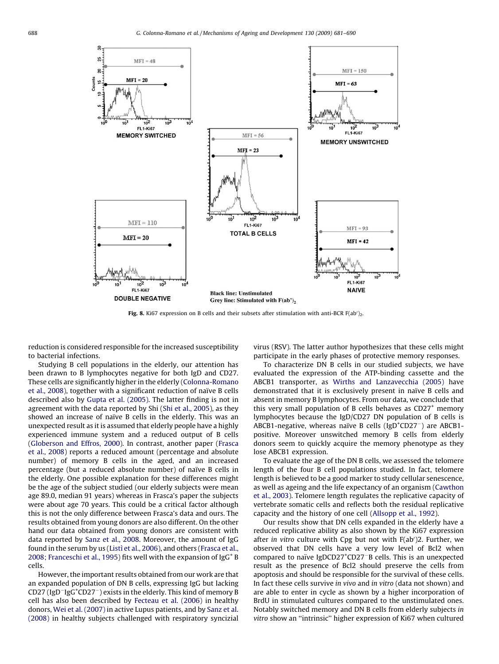<span id="page-7-0"></span>

Fig. 8. Ki67 expression on B cells and their subsets after stimulation with anti-BCR  $F(ab')_2$ .

reduction is considered responsible for the increased susceptibility to bacterial infections.

Studying B cell populations in the elderly, our attention has been drawn to B lymphocytes negative for both IgD and CD27. These cells are significantly higher in the elderly ([Colonna-Romano](#page-9-0) [et al., 2008](#page-9-0)), together with a significant reduction of naïve B cells described also by [Gupta et al. \(2005\)](#page-9-0). The latter finding is not in agreement with the data reported by Shi [\(Shi et al., 2005](#page-9-0)), as they showed an increase of naïve B cells in the elderly. This was an unexpected result as it is assumed that elderly people have a highly experienced immune system and a reduced output of B cells ([Globerson and Effros, 2000](#page-9-0)). In contrast, another paper ([Frasca](#page-9-0) [et al., 2008\)](#page-9-0) reports a reduced amount (percentage and absolute number) of memory B cells in the aged, and an increased percentage (but a reduced absolute number) of naïve B cells in the elderly. One possible explanation for these differences might be the age of the subject studied (our elderly subjects were mean age 89.0, median 91 years) whereas in Frasca's paper the subjects were about age 70 years. This could be a critical factor although this is not the only difference between Frasca's data and ours. The results obtained from young donors are also different. On the other hand our data obtained from young donors are consistent with data reported by [Sanz et al., 2008](#page-9-0). Moreover, the amount of IgG found in the serum by us (Listi [et al., 2006\)](#page-9-0), and others ([Frasca et al.,](#page-9-0) [2008; Franceschi et al., 1995\)](#page-9-0) fits well with the expansion of  $\lg G$ <sup>+</sup> B cells.

However, the important results obtained from our work are that an expanded population of DN B cells, expressing IgG but lacking CD27 (IgD<sup>-</sup>IgG<sup>+</sup>CD27<sup>-</sup>) exists in the elderly. This kind of memory B cell has also been described by [Fecteau et al. \(2006\)](#page-9-0) in healthy donors, [Wei et al. \(2007\)](#page-9-0) in active Lupus patients, and by [Sanz et al.](#page-9-0) [\(2008\)](#page-9-0) in healthy subjects challenged with respiratory syncizial virus (RSV). The latter author hypothesizes that these cells might participate in the early phases of protective memory responses.

To characterize DN B cells in our studied subjects, we have evaluated the expression of the ATP-binding cassette and the ABCB1 transporter, as [Wirths and Lanzavecchia \(2005\)](#page-9-0) have demonstrated that it is exclusively present in naïve B cells and absent in memory B lymphocytes. From our data, we conclude that this very small population of B cells behaves as  $CD27<sup>+</sup>$  memory lymphocytes because the IgD/CD27 DN population of B cells is ABCB1-negative, whereas naïve B cells (IgD<sup>+</sup>CD27<sup>-</sup>) are ABCB1positive. Moreover unswitched memory B cells from elderly donors seem to quickly acquire the memory phenotype as they lose ABCB1 expression.

To evaluate the age of the DN B cells, we assessed the telomere length of the four B cell populations studied. In fact, telomere length is believed to be a good marker to study cellular senescence, as well as ageing and the life expectancy of an organism ([Cawthon](#page-8-0) [et al., 2003\)](#page-8-0). Telomere length regulates the replicative capacity of vertebrate somatic cells and reflects both the residual replicative capacity and the history of one cell ([Allsopp et al., 1992](#page-8-0)).

Our results show that DN cells expanded in the elderly have a reduced replicative ability as also shown by the Ki67 expression after in vitro culture with Cpg but not with  $F(ab')2$ . Further, we observed that DN cells have a very low level of Bcl2 when compared to naïve IgDCD27<sup>+</sup>CD27<sup>-</sup>B cells. This is an unexpected result as the presence of Bcl2 should preserve the cells from apoptosis and should be responsible for the survival of these cells. In fact these cells survive in vivo and in vitro (data not shown) and are able to enter in cycle as shown by a higher incorporation of BrdU in stimulated cultures compared to the unstimulated ones. Notably switched memory and DN B cells from elderly subjects in vitro show an ''intrinsic'' higher expression of Ki67 when cultured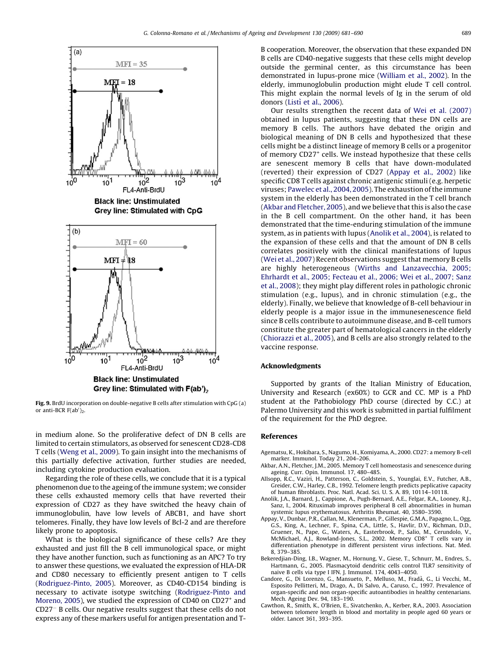<span id="page-8-0"></span>

Fig. 9. BrdU incorporation on double-negative B cells after stimulation with CpG (a) or anti-BCR  $F(ab')_2$ .

in medium alone. So the proliferative defect of DN B cells are limited to certain stimulators, as observed for senescent CD28-CD8 T cells ([Weng et al., 2009](#page-9-0)). To gain insight into the mechanisms of this partially defective activation, further studies are needed, including cytokine production evaluation.

Regarding the role of these cells, we conclude that it is a typical phenomenon due to the ageing of the immune system; we consider these cells exhausted memory cells that have reverted their expression of CD27 as they have switched the heavy chain of immunoglobulin, have low levels of ABCB1, and have short telomeres. Finally, they have low levels of Bcl-2 and are therefore likely prone to apoptosis.

What is the biological significance of these cells? Are they exhausted and just fill the B cell immunological space, or might they have another function, such as functioning as an APC? To try to answer these questions, we evaluated the expression of HLA-DR and CD80 necessary to efficiently present antigen to T cells ([Rodriguez-Pinto, 2005](#page-9-0)). Moreover, as CD40-CD154 binding is necessary to activate isotype switching [\(Rodriguez-Pinto and](#page-9-0) [Moreno, 2005\)](#page-9-0), we studied the expression of CD40 on CD27<sup>+</sup> and CD27- B cells. Our negative results suggest that these cells do not express any of these markers useful for antigen presentation and T- B cooperation. Moreover, the observation that these expanded DN B cells are CD40-negative suggests that these cells might develop outside the germinal center, as this circumstance has been demonstrated in lupus-prone mice ([William et al., 2002](#page-9-0)). In the elderly, immunoglobulin production might elude T cell control. This might explain the normal levels of Ig in the serum of old donors (Listì [et al., 2006](#page-9-0)).

Our results strengthen the recent data of [Wei et al. \(2007\)](#page-9-0) obtained in lupus patients, suggesting that these DN cells are memory B cells. The authors have debated the origin and biological meaning of DN B cells and hypothesized that these cells might be a distinct lineage of memory B cells or a progenitor of memory CD27<sup>+</sup> cells. We instead hypothesize that these cells are senescent memory B cells that have down-modulated (reverted) their expression of CD27 (Appay et al., 2002) like specific CD8 T cells against chronic antigenic stimuli (e.g. herpetic viruses; [Pawelec et al., 2004, 2005](#page-9-0)). The exhaustion of the immune system in the elderly has been demonstrated in the T cell branch (Akbar and Fletcher, 2005), and we believe that this is also the case in the B cell compartment. On the other hand, it has been demonstrated that the time-enduring stimulation of the immune system, as in patients with lupus (Anolik et al., 2004), is related to the expansion of these cells and that the amount of DN B cells correlates positively with the clinical manifestations of lupus ([Wei et al., 2007\)](#page-9-0) Recent observations suggest that memory B cells are highly heterogeneous ([Wirths and Lanzavecchia, 2005;](#page-9-0) [Ehrhardt et al., 2005; Fecteau et al., 2006; Wei et al., 2007; Sanz](#page-9-0) [et al., 2008](#page-9-0)); they might play different roles in pathologic chronic stimulation (e.g., lupus), and in chronic stimulation (e.g., the elderly). Finally, we believe that knowledge of B-cell behaviour in elderly people is a major issue in the immunesenescence field since B cells contribute to autoimmune disease, and B-cell tumors constitute the greater part of hematological cancers in the elderly ([Chiorazzi et al., 2005](#page-9-0)), and B cells are also strongly related to the vaccine response.

## Acknowledgments

Supported by grants of the Italian Ministry of Education, University and Research (ex60%) to GCR and CC. MP is a PhD student at the Pathobiology PhD course (directed by C.C.) at Palermo University and this work is submitted in partial fulfilment of the requirement for the PhD degree.

# References

- Agematsu, K., Hokibara, S., Nagumo, H., Komiyama, A., 2000. CD27: a memory B-cell marker. Immunol. Today 21, 204–206.
- Akbar, A.N., Fletcher, J.M., 2005. Memory T cell homeostasis and senescence during ageing. Curr. Opin. Immunol. 17, 480–485.
- Allsopp, R.C., Vaziri, H., Patterson, C., Goldstein, S., Younglai, E.V., Futcher, A.B., Greider, C.W., Harley, C.B., 1992. Telomere length predicts peplicative capacity of human fibroblasts. Proc. Natl. Acad. Sci. U. S. A. 89, 10114–10118.
- Anolik, J.A., Barnard, J., Cappione, A., Pugh-Bernard, A.E., Felgar, R.A., Looney, R.J., Sanz, I., 2004. Rituximab improves peripheral B cell abnormalities in human systemic lupus erythematosus. Arthritis Rheumat. 40, 3580–3590.
- Appay, V., Dunbar, P.R., Callan, M., Klenerman, P., Gillespie, G.M.A., Papagno, L., Ogg, G.S., King, A., Lechner, F., Spina, C.A., Little, S., Havlir, D.V., Richman, D.D., Gruener, N., Pape, G., Waters, A., Easterbrook, P., Salio, M., Cerundolo, V., McMichael, A.J., Rowland-Jones, S.L., 2002. Memory CD8<sup>+</sup> T cells vary in differentiation phenotype in different persistent virus infections. Nat. Med. 8, 379–385.
- Bekeredjian-Ding, I.B., Wagner, M., Hornung, V., Giese, T., Schnurr, M., Endres, S., Hartmann, G., 2005. Plasmacytoid dendritic cells control TLR7 sensitivity of naive B cells via type I IFN. J. Immunol. 174, 4043–4050.
- Candore, G., Di Lorenzo, G., Mansueto, P., Melluso, M., Fradà, G., Li Vecchi, M., Esposito Pellitteri, M., Drago, A., Di Salvo, A., Caruso, C., 1997. Prevalence of organ-specific and non organ-specific autoantibodies in healthy centenarians. Mech. Ageing Dev. 94, 183–190.
- Cawthon, R., Smith, K., O'Brien, E., Sivatchenko, A., Kerber, R.A., 2003. Association between telomere length in blood and mortality in people aged 60 years or older. Lancet 361, 393–395.